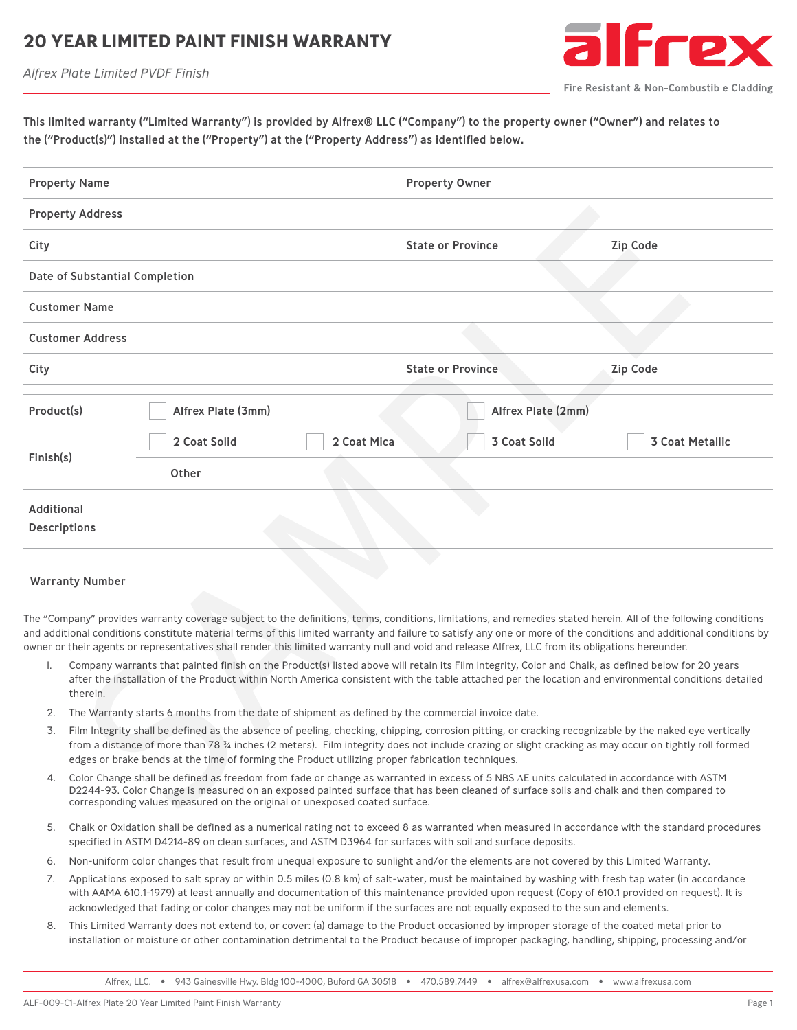### **20 YEAR LIMITED PAINT FINISH WARRANT**

*Alfrex Plate Limited PVDF Finish*



Fire Resistant & Non-Combustible Cladding

This limited warranty ("Limited Warranty") is provided by Alfrex® LLC ("Company") to the property owner ("Owner") and relates to the ("Product(s)") installed at the ("Property") at the ("Property Address") as identified below.

| <b>Property Name</b>                                                                                                                                                                                                                                                                                                                                                                                                                                                                        |                                                                                                                                                                                                                                                                                                                                                                                                                   |              |                          | <b>Property Owner</b> |                 |                        |  |  |
|---------------------------------------------------------------------------------------------------------------------------------------------------------------------------------------------------------------------------------------------------------------------------------------------------------------------------------------------------------------------------------------------------------------------------------------------------------------------------------------------|-------------------------------------------------------------------------------------------------------------------------------------------------------------------------------------------------------------------------------------------------------------------------------------------------------------------------------------------------------------------------------------------------------------------|--------------|--------------------------|-----------------------|-----------------|------------------------|--|--|
| <b>Property Address</b>                                                                                                                                                                                                                                                                                                                                                                                                                                                                     |                                                                                                                                                                                                                                                                                                                                                                                                                   |              |                          |                       |                 |                        |  |  |
| City                                                                                                                                                                                                                                                                                                                                                                                                                                                                                        |                                                                                                                                                                                                                                                                                                                                                                                                                   |              | <b>State or Province</b> |                       | <b>Zip Code</b> |                        |  |  |
| Date of Substantial Completion                                                                                                                                                                                                                                                                                                                                                                                                                                                              |                                                                                                                                                                                                                                                                                                                                                                                                                   |              |                          |                       |                 |                        |  |  |
| <b>Customer Name</b>                                                                                                                                                                                                                                                                                                                                                                                                                                                                        |                                                                                                                                                                                                                                                                                                                                                                                                                   |              |                          |                       |                 |                        |  |  |
| <b>Customer Address</b>                                                                                                                                                                                                                                                                                                                                                                                                                                                                     |                                                                                                                                                                                                                                                                                                                                                                                                                   |              |                          |                       |                 |                        |  |  |
| City                                                                                                                                                                                                                                                                                                                                                                                                                                                                                        |                                                                                                                                                                                                                                                                                                                                                                                                                   |              | <b>State or Province</b> |                       | <b>Zip Code</b> |                        |  |  |
|                                                                                                                                                                                                                                                                                                                                                                                                                                                                                             | Product(s)<br>Alfrex Plate (3mm)                                                                                                                                                                                                                                                                                                                                                                                  |              | Alfrex Plate (2mm)       |                       |                 |                        |  |  |
|                                                                                                                                                                                                                                                                                                                                                                                                                                                                                             |                                                                                                                                                                                                                                                                                                                                                                                                                   | 2 Coat Solid | 2 Coat Mica              | <b>3 Coat Solid</b>   |                 | <b>3 Coat Metallic</b> |  |  |
| Finish(s)                                                                                                                                                                                                                                                                                                                                                                                                                                                                                   |                                                                                                                                                                                                                                                                                                                                                                                                                   | Other        |                          |                       |                 |                        |  |  |
| Additional<br><b>Descriptions</b>                                                                                                                                                                                                                                                                                                                                                                                                                                                           |                                                                                                                                                                                                                                                                                                                                                                                                                   |              |                          |                       |                 |                        |  |  |
| <b>Warranty Number</b>                                                                                                                                                                                                                                                                                                                                                                                                                                                                      |                                                                                                                                                                                                                                                                                                                                                                                                                   |              |                          |                       |                 |                        |  |  |
| The "Company" provides warranty coverage subject to the definitions, terms, conditions, limitations, and remedies stated herein. All of the following conditions<br>and additional conditions constitute material terms of this limited warranty and failure to satisfy any one or more of the conditions and additional conditions by<br>owner or their agents or representatives shall render this limited warranty null and void and release Alfrex, LLC from its obligations hereunder. |                                                                                                                                                                                                                                                                                                                                                                                                                   |              |                          |                       |                 |                        |  |  |
| I.                                                                                                                                                                                                                                                                                                                                                                                                                                                                                          | Company warrants that painted finish on the Product(s) listed above will retain its Film integrity, Color and Chalk, as defined below for 20 years<br>after the installation of the Product within North America consistent with the table attached per the location and environmental conditions detailed<br>therein.                                                                                            |              |                          |                       |                 |                        |  |  |
| 2.                                                                                                                                                                                                                                                                                                                                                                                                                                                                                          | The Warranty starts 6 months from the date of shipment as defined by the commercial invoice date.                                                                                                                                                                                                                                                                                                                 |              |                          |                       |                 |                        |  |  |
| 3.                                                                                                                                                                                                                                                                                                                                                                                                                                                                                          | Film Integrity shall be defined as the absence of peeling, checking, chipping, corrosion pitting, or cracking recognizable by the naked eye vertically<br>from a distance of more than 78 % inches (2 meters). Film integrity does not include crazing or slight cracking as may occur on tightly roll formed<br>edges or brake bends at the time of forming the Product utilizing proper fabrication techniques. |              |                          |                       |                 |                        |  |  |
| 4.                                                                                                                                                                                                                                                                                                                                                                                                                                                                                          | Color Change shall be defined as freedom from fade or change as warranted in excess of 5 NBS AE units calculated in accordance with ASTM<br>D2244-93. Color Change is measured on an exposed painted surface that has been cleaned of surface soils and chalk and then compared to<br>corresponding values measured on the original or unexposed coated surface.                                                  |              |                          |                       |                 |                        |  |  |

#### Warranty Number

- 1. Company warrants that painted finish on the Product(s) listed above will retain its Film integrity, Color and Chalk, as defined below for 20 years after the installation of the Product within North America consistent with the table attached per the location and environmental conditions detailed therein.
- 2. The Warranty starts 6 months from the date of shipment as defined by the commercial invoice date.
- 3. Film Integrity shall be defined as the absence of peeling, checking, chipping, corrosion pitting, or cracking recognizable by the naked eye vertically from a distance of more than 78 % inches (2 meters). Film integrity does not include crazing or slight cracking as may occur on tightly roll formed edges or brake bends at the time of forming the Product utilizing proper fabrication techniques.
- 4. Color Change shall be defined as freedom from fade or change as warranted in excess of 5 NBS ∆E units calculated in accordance with ASTM D2244-93. Color Change is measured on an exposed painted surface that has been cleaned of surface soils and chalk and then compared to corresponding values measured on the original or unexposed coated surface.
- 5. Chalk or Oxidation shall be defined as a numerical rating not to exceed 8 as warranted when measured in accordance with the standard procedures specified in ASTM D4214-89 on clean surfaces, and ASTM D3964 for surfaces with soil and surface deposits.
- 6. Non-uniform color changes that result from unequal exposure to sunlight and/or the elements are not covered by this Limited Warranty.
- 7. Applications exposed to salt spray or within 0.5 miles (0.8 km) of salt-water, must be maintained by washing with fresh tap water (in accordance with AAMA 610.1-1979) at least annually and documentation of this maintenance provided upon request (Copy of 610.1 provided on request). It is acknowledged that fading or color changes may not be uniform if the surfaces are not equally exposed to the sun and elements.
- 8. This Limited Warranty does not extend to, or cover: (a) damage to the Product occasioned by improper storage of the coated metal prior to installation or moisture or other contamination detrimental to the Product because of improper packaging, handling, shipping, processing and/or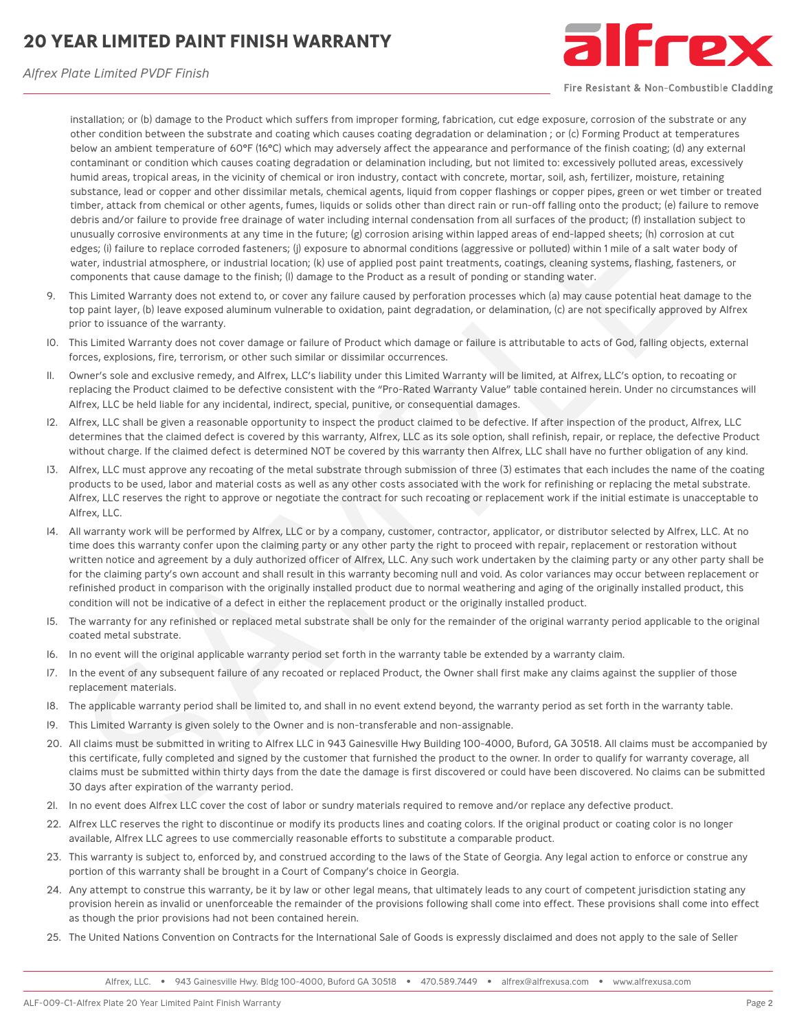# **20 YEAR LIMITED PAINT FINISH WARRANTY**



*Alfrex Plate Limited PVDF Finish*

Fire Resistant & Non-Combustible Cladding

installation; or (b) damage to the Product which suffers from improper forming, fabrication, cut edge exposure, corrosion of the substrate or any other condition between the substrate and coating which causes coating degradation or delamination ; or (c) Forming Product at temperatures below an ambient temperature of 60°F (16°C) which may adversely affect the appearance and performance of the finish coating; (d) any external contaminant or condition which causes coating degradation or delamination including, but not limited to: excessively polluted areas, excessively humid areas, tropical areas, in the vicinity of chemical or iron industry, contact with concrete, mortar, soil, ash, fertilizer, moisture, retaining substance, lead or copper and other dissimilar metals, chemical agents, liquid from copper flashings or copper pipes, green or wet timber or treated timber, attack from chemical or other agents, fumes, liquids or solids other than direct rain or run-off falling onto the product; (e) failure to remove debris and/or failure to provide free drainage of water including internal condensation from all surfaces of the product; (f) installation subject to unusually corrosive environments at any time in the future; (g) corrosion arising within lapped areas of end-lapped sheets; (h) corrosion at cut edges; (i) failure to replace corroded fasteners; (j) exposure to abnormal conditions (aggressive or polluted) within 1 mile of a salt water body of water, industrial atmosphere, or industrial location; (k) use of applied post paint treatments, coatings, cleaning systems, flashing, fasteners, or components that cause damage to the finish; (l) damage to the Product as a result of ponding or standing water.

- 9. This Limited Warranty does not extend to, or cover any failure caused by perforation processes which (a) may cause potential heat damage to the top paint layer, (b) leave exposed aluminum vulnerable to oxidation, paint degradation, or delamination, (c) are not specifically approved by Alfrex prior to issuance of the warranty.
- 10. This Limited Warranty does not cover damage or failure of Product which damage or failure is attributable to acts of God, falling objects, external forces, explosions, fire, terrorism, or other such similar or dissimilar occurrences.
- 11. Owner's sole and exclusive remedy, and Alfrex, LLC's liability under this Limited Warranty will be limited, at Alfrex, LLC's option, to recoating or replacing the Product claimed to be defective consistent with the "Pro-Rated Warranty Value" table contained herein. Under no circumstances will Alfrex, LLC be held liable for any incidental, indirect, special, punitive, or consequential damages.
- 12. Alfrex, LLC shall be given a reasonable opportunity to inspect the product claimed to be defective. If after inspection of the product, Alfrex, LLC determines that the claimed defect is covered by this warranty, Alfrex, LLC as its sole option, shall refinish, repair, or replace, the defective Product without charge. If the claimed defect is determined NOT be covered by this warranty then Alfrex, LLC shall have no further obligation of any kind.
- 13. Alfrex, LLC must approve any recoating of the metal substrate through submission of three (3) estimates that each includes the name of the coating products to be used, labor and material costs as well as any other costs associated with the work for refinishing or replacing the metal substrate. Alfrex, LLC reserves the right to approve or negotiate the contract for such recoating or replacement work if the initial estimate is unacceptable to Alfrex, LLC.
- 14. All warranty work will be performed by Alfrex, LLC or by a company, customer, contractor, applicator, or distributor selected by Alfrex, LLC. At no time does this warranty confer upon the claiming party or any other party the right to proceed with repair, replacement or restoration without written notice and agreement by a duly authorized officer of Alfrex, LLC. Any such work undertaken by the claiming party or any other party shall be for the claiming party's own account and shall result in this warranty becoming null and void. As color variances may occur between replacement or refinished product in comparison with the originally installed product due to normal weathering and aging of the originally installed product, this condition will not be indicative of a defect in either the replacement product or the originally installed product. now a such that the method with spatial states. The spatial states and the method with the spatial states and the spatial states and the spatial states and the spatial states in the states and the states in the state of th
- 15. The warranty for any refinished or replaced metal substrate shall be only for the remainder of the original warranty period applicable to the original coated metal substrate.
- 16. In no event will the original applicable warranty period set forth in the warranty table be extended by a warranty claim.
- 17. In the event of any subsequent failure of any recoated or replaced Product, the Owner shall first make any claims against the supplier of those replacement materials.
- 18. The applicable warranty period shall be limited to, and shall in no event extend beyond, the warranty period as set forth in the warranty table.
- 19. This Limited Warranty is given solely to the Owner and is non-transferable and non-assignable.
- 20. All claims must be submitted in writing to Alfrex LLC in 943 Gainesville Hwy Building 100-4000, Buford, GA 30518. All claims must be accompanied by this certificate, fully completed and signed by the customer that furnished the product to the owner. In order to qualify for warranty coverage, all claims must be submitted within thirty days from the date the damage is first discovered or could have been discovered. No claims can be submitted 30 days after expiration of the warranty period.
- 21. In no event does Alfrex LLC cover the cost of labor or sundry materials required to remove and/or replace any defective product.
- 22. Alfrex LLC reserves the right to discontinue or modify its products lines and coating colors. If the original product or coating color is no longer available, Alfrex LLC agrees to use commercially reasonable efforts to substitute a comparable product.
- 23. This warranty is subject to, enforced by, and construed according to the laws of the State of Georgia. Any legal action to enforce or construe any portion of this warranty shall be brought in a Court of Company's choice in Georgia.
- 24. Any attempt to construe this warranty, be it by law or other legal means, that ultimately leads to any court of competent jurisdiction stating any provision herein as invalid or unenforceable the remainder of the provisions following shall come into effect. These provisions shall come into effect as though the prior provisions had not been contained herein.
- 25. The United Nations Convention on Contracts for the International Sale of Goods is expressly disclaimed and does not apply to the sale of Seller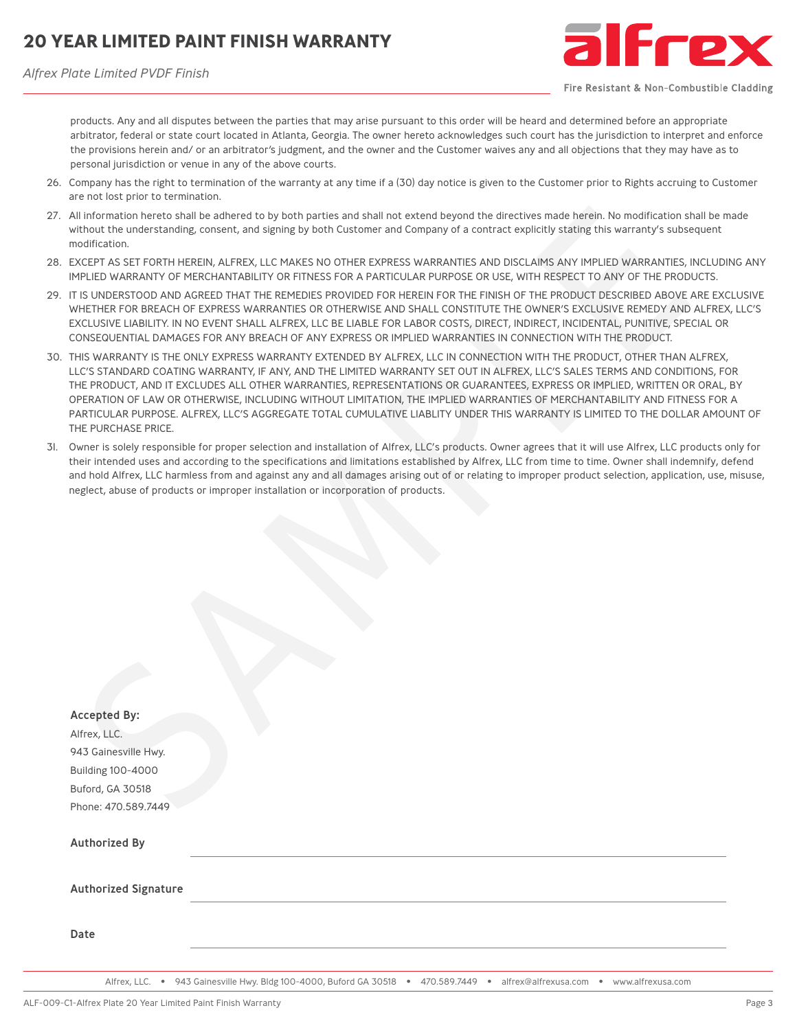*Alfrex Plate Limited PVDF Finish*



Fire Resistant & Non-Combustible Cladding

products. Any and all disputes between the parties that may arise pursuant to this order will be heard and determined before an appropriate arbitrator, federal or state court located in Atlanta, Georgia. The owner hereto acknowledges such court has the jurisdiction to interpret and enforce the provisions herein and/ or an arbitrator's judgment, and the owner and the Customer waives any and all objections that they may have as to personal jurisdiction or venue in any of the above courts.

- 26. Company has the right to termination of the warranty at any time if a (30) day notice is given to the Customer prior to Rights accruing to Customer are not lost prior to termination.
- 27. All information hereto shall be adhered to by both parties and shall not extend beyond the directives made herein. No modification shall be made without the understanding, consent, and signing by both Customer and Company of a contract explicitly stating this warranty's subsequent modification.
- 28. EXCEPT AS SET FORTH HEREIN, ALFREX, LLC MAKES NO OTHER EXPRESS WARRANTIES AND DISCLAIMS ANY IMPLIED WARRANTIES, INCLUDING ANY IMPLIED WARRANTY OF MERCHANTABILITY OR FITNESS FOR A PARTICULAR PURPOSE OR USE, WITH RESPECT TO ANY OF THE PRODUCTS.
- 29. IT IS UNDERSTOOD AND AGREED THAT THE REMEDIES PROVIDED FOR HEREIN FOR THE FINISH OF THE PRODUCT DESCRIBED ABOVE ARE EXCLUSIVE WHETHER FOR BREACH OF EXPRESS WARRANTIES OR OTHERWISE AND SHALL CONSTITUTE THE OWNER'S EXCLUSIVE REMEDY AND ALFREX, LLC'S EXCLUSIVE LIABILITY. IN NO EVENT SHALL ALFREX, LLC BE LIABLE FOR LABOR COSTS, DIRECT, INDIRECT, INCIDENTAL, PUNITIVE, SPECIAL OR CONSEQUENTIAL DAMAGES FOR ANY BREACH OF ANY EXPRESS OR IMPLIED WARRANTIES IN CONNECTION WITH THE PRODUCT.
- 30. THIS WARRANTY IS THE ONLY EXPRESS WARRANTY EXTENDED BY ALFREX, LLC IN CONNECTION WITH THE PRODUCT, OTHER THAN ALFREX, LLC'S STANDARD COATING WARRANTY, IF ANY, AND THE LIMITED WARRANTY SET OUT IN ALFREX, LLC'S SALES TERMS AND CONDITIONS, FOR THE PRODUCT, AND IT EXCLUDES ALL OTHER WARRANTIES, REPRESENTATIONS OR GUARANTEES, EXPRESS OR IMPLIED, WRITTEN OR ORAL, BY OPERATION OF LAW OR OTHERWISE, INCLUDING WITHOUT LIMITATION, THE IMPLIED WARRANTIES OF MERCHANTABILITY AND FITNESS FOR A PARTICULAR PURPOSE. ALFREX, LLC'S AGGREGATE TOTAL CUMULATIVE LIABLITY UNDER THIS WARRANTY IS LIMITED TO THE DOLLAR AMOUNT OF THE PURCHASE PRICE.
- 31. Owner is solely responsible for proper selection and installation of Alfrex, LLC's products. Owner agrees that it will use Alfrex, LLC products only for their intended uses and according to the specifications and limitations established by Alfrex, LLC from time to time. Owner shall indemnify, defend and hold Alfrex, LLC harmless from and against any and all damages arising out of or relating to improper product selection, application, use, misuse, neglect, abuse of products or improper installation or incorporation of products.

| All information hereto shall be adhered to by both parties and shall not extend beyond the directives made herein. No modification shall be mad<br>without the understanding, consent, and signing by both Customer and Company of a contract explicitly stating this warranty's subsequent<br>modification.                                                                                                                                                                                                                                                                                                                                                     |
|------------------------------------------------------------------------------------------------------------------------------------------------------------------------------------------------------------------------------------------------------------------------------------------------------------------------------------------------------------------------------------------------------------------------------------------------------------------------------------------------------------------------------------------------------------------------------------------------------------------------------------------------------------------|
| EXCEPT AS SET FORTH HEREIN, ALFREX, LLC MAKES NO OTHER EXPRESS WARRANTIES AND DISCLAIMS ANY IMPLIED WARRANTIES, INCLUDING<br>IMPLIED WARRANTY OF MERCHANTABILITY OR FITNESS FOR A PARTICULAR PURPOSE OR USE, WITH RESPECT TO ANY OF THE PRODUCTS.                                                                                                                                                                                                                                                                                                                                                                                                                |
| IT IS UNDERSTOOD AND AGREED THAT THE REMEDIES PROVIDED FOR HEREIN FOR THE FINISH OF THE PRODUCT DESCRIBED ABOVE ARE EXCLU<br>WHETHER FOR BREACH OF EXPRESS WARRANTIES OR OTHERWISE AND SHALL CONSTITUTE THE OWNER'S EXCLUSIVE REMEDY AND ALFREX, LI<br>EXCLUSIVE LIABILITY. IN NO EVENT SHALL ALFREX, LLC BE LIABLE FOR LABOR COSTS, DIRECT, INDIRECT, INCIDENTAL, PUNITIVE, SPECIAL OR<br>CONSEQUENTIAL DAMAGES FOR ANY BREACH OF ANY EXPRESS OR IMPLIED WARRANTIES IN CONNECTION WITH THE PRODUCT.                                                                                                                                                             |
| THIS WARRANTY IS THE ONLY EXPRESS WARRANTY EXTENDED BY ALFREX, LLC IN CONNECTION WITH THE PRODUCT, OTHER THAN ALFREX,<br>LLC'S STANDARD COATING WARRANTY, IF ANY, AND THE LIMITED WARRANTY SET OUT IN ALFREX, LLC'S SALES TERMS AND CONDITIONS, FOR<br>THE PRODUCT, AND IT EXCLUDES ALL OTHER WARRANTIES, REPRESENTATIONS OR GUARANTEES, EXPRESS OR IMPLIED, WRITTEN OR ORAL, BY<br>OPERATION OF LAW OR OTHERWISE, INCLUDING WITHOUT LIMITATION, THE IMPLIED WARRANTIES OF MERCHANTABILITY AND FITNESS FOR A<br>PARTICULAR PURPOSE. ALFREX, LLC'S AGGREGATE TOTAL CUMULATIVE LIABLITY UNDER THIS WARRANTY IS LIMITED TO THE DOLLAR AMOUNT<br>THE PURCHASE PRICE. |
| Owner is solely responsible for proper selection and installation of Alfrex, LLC's products. Owner agrees that it will use Alfrex, LLC products only<br>their intended uses and according to the specifications and limitations established by Alfrex, LLC from time to time. Owner shall indemnify, defer<br>and hold Alfrex, LLC harmless from and against any and all damages arising out of or relating to improper product selection, application, use, mis<br>neglect, abuse of products or improper installation or incorporation of products.                                                                                                            |
|                                                                                                                                                                                                                                                                                                                                                                                                                                                                                                                                                                                                                                                                  |
|                                                                                                                                                                                                                                                                                                                                                                                                                                                                                                                                                                                                                                                                  |
|                                                                                                                                                                                                                                                                                                                                                                                                                                                                                                                                                                                                                                                                  |
|                                                                                                                                                                                                                                                                                                                                                                                                                                                                                                                                                                                                                                                                  |
|                                                                                                                                                                                                                                                                                                                                                                                                                                                                                                                                                                                                                                                                  |
|                                                                                                                                                                                                                                                                                                                                                                                                                                                                                                                                                                                                                                                                  |
|                                                                                                                                                                                                                                                                                                                                                                                                                                                                                                                                                                                                                                                                  |
| <b>Accepted By:</b>                                                                                                                                                                                                                                                                                                                                                                                                                                                                                                                                                                                                                                              |
| Alfrex, LLC.                                                                                                                                                                                                                                                                                                                                                                                                                                                                                                                                                                                                                                                     |
| 943 Gainesville Hwy.<br><b>Building 100-4000</b>                                                                                                                                                                                                                                                                                                                                                                                                                                                                                                                                                                                                                 |
| Buford, GA 30518                                                                                                                                                                                                                                                                                                                                                                                                                                                                                                                                                                                                                                                 |
| Phone: 470.589.7449                                                                                                                                                                                                                                                                                                                                                                                                                                                                                                                                                                                                                                              |
| <b>Authorized By</b>                                                                                                                                                                                                                                                                                                                                                                                                                                                                                                                                                                                                                                             |
| <b>Authorized Signature</b>                                                                                                                                                                                                                                                                                                                                                                                                                                                                                                                                                                                                                                      |
| Date                                                                                                                                                                                                                                                                                                                                                                                                                                                                                                                                                                                                                                                             |
|                                                                                                                                                                                                                                                                                                                                                                                                                                                                                                                                                                                                                                                                  |

Alfrex, LLC. • 943 Gainesville Hwy. Bldg 100-4000, Buford GA 30518 • 470.589.7449 • alfrex@alfrexusa.com • www.alfrexusa.com